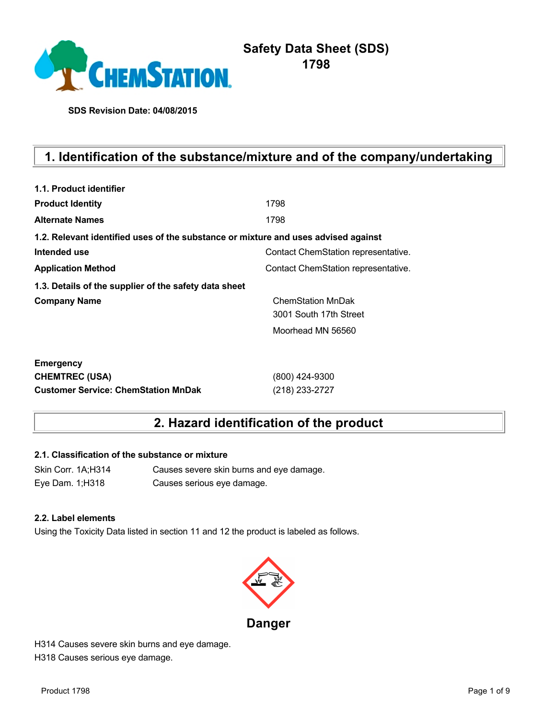

# **Safety Data Sheet (SDS) 1798**

**SDS Revision Date: 04/08/2015**

# **1. Identification of the substance/mixture and of the company/undertaking**

| 1.1. Product identifier                                                            |                                     |
|------------------------------------------------------------------------------------|-------------------------------------|
| <b>Product Identity</b>                                                            | 1798                                |
| <b>Alternate Names</b>                                                             | 1798                                |
| 1.2. Relevant identified uses of the substance or mixture and uses advised against |                                     |
| Intended use                                                                       | Contact ChemStation representative. |
| <b>Application Method</b>                                                          | Contact ChemStation representative. |
| 1.3. Details of the supplier of the safety data sheet                              |                                     |
| <b>Company Name</b>                                                                | <b>ChemStation MnDak</b>            |
|                                                                                    | 3001 South 17th Street              |
|                                                                                    | Moorhead MN 56560                   |
| <b>Emergency</b>                                                                   |                                     |
| <b>CHEMTREC (USA)</b>                                                              | (800) 424-9300                      |
| <b>Customer Service: ChemStation MnDak</b>                                         | (218) 233-2727                      |

# **2. Hazard identification of the product**

## **2.1. Classification of the substance or mixture**

Skin Corr. 1A;H314 Causes severe skin burns and eye damage. Eye Dam. 1;H318 Causes serious eye damage.

#### **2.2. Label elements**

Using the Toxicity Data listed in section 11 and 12 the product is labeled as follows.



H314 Causes severe skin burns and eye damage. H318 Causes serious eye damage.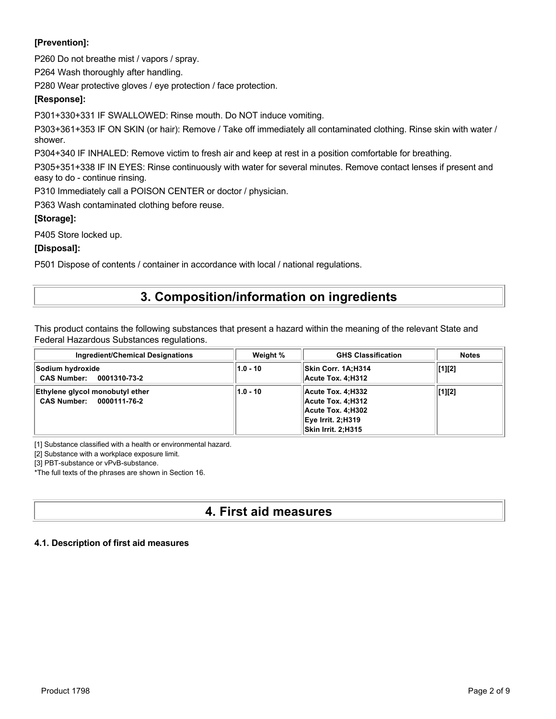## **[Prevention]:**

P260 Do not breathe mist / vapors / spray.

P264 Wash thoroughly after handling.

P280 Wear protective gloves / eye protection / face protection.

## **[Response]:**

P301+330+331 IF SWALLOWED: Rinse mouth. Do NOT induce vomiting.

P303+361+353 IF ON SKIN (or hair): Remove / Take off immediately all contaminated clothing. Rinse skin with water / shower.

P304+340 IF INHALED: Remove victim to fresh air and keep at rest in a position comfortable for breathing.

P305+351+338 IF IN EYES: Rinse continuously with water for several minutes. Remove contact lenses if present and easy to do - continue rinsing.

P310 Immediately call a POISON CENTER or doctor / physician.

P363 Wash contaminated clothing before reuse.

## **[Storage]:**

P405 Store locked up.

## **[Disposal]:**

P501 Dispose of contents / container in accordance with local / national regulations.

## **3. Composition/information on ingredients**

This product contains the following substances that present a hazard within the meaning of the relevant State and Federal Hazardous Substances regulations.

| <b>Ingredient/Chemical Designations</b>                     | Weight %   | <b>GHS Classification</b>                                                                                               | <b>Notes</b> |
|-------------------------------------------------------------|------------|-------------------------------------------------------------------------------------------------------------------------|--------------|
| Sodium hydroxide<br>CAS Number: 0001310-73-2                | $1.0 - 10$ | Skin Corr. 1A:H314<br>Acute Tox. 4:H312                                                                                 | [1][2]       |
| Ethylene glycol monobutyl ether<br>CAS Number: 0000111-76-2 | $1.0 - 10$ | Acute Tox. 4:H332   <br>Acute Tox. 4:H312<br>Acute Tox. 4:H302<br><b>Eye Irrit. 2:H319</b><br><b>Skin Irrit. 2:H315</b> | [1][2]       |

[1] Substance classified with a health or environmental hazard.

[2] Substance with a workplace exposure limit.

[3] PBT-substance or vPvB-substance.

\*The full texts of the phrases are shown in Section 16.

# **4. First aid measures**

## **4.1. Description of first aid measures**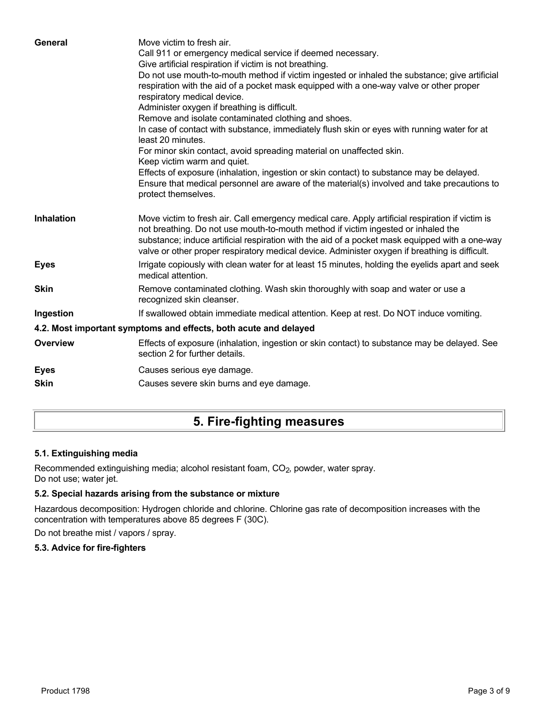| General           | Move victim to fresh air.<br>Call 911 or emergency medical service if deemed necessary.<br>Give artificial respiration if victim is not breathing.<br>Do not use mouth-to-mouth method if victim ingested or inhaled the substance; give artificial<br>respiration with the aid of a pocket mask equipped with a one-way valve or other proper<br>respiratory medical device.<br>Administer oxygen if breathing is difficult.<br>Remove and isolate contaminated clothing and shoes.<br>In case of contact with substance, immediately flush skin or eyes with running water for at<br>least 20 minutes.<br>For minor skin contact, avoid spreading material on unaffected skin.<br>Keep victim warm and quiet.<br>Effects of exposure (inhalation, ingestion or skin contact) to substance may be delayed.<br>Ensure that medical personnel are aware of the material(s) involved and take precautions to<br>protect themselves. |
|-------------------|-----------------------------------------------------------------------------------------------------------------------------------------------------------------------------------------------------------------------------------------------------------------------------------------------------------------------------------------------------------------------------------------------------------------------------------------------------------------------------------------------------------------------------------------------------------------------------------------------------------------------------------------------------------------------------------------------------------------------------------------------------------------------------------------------------------------------------------------------------------------------------------------------------------------------------------|
| <b>Inhalation</b> | Move victim to fresh air. Call emergency medical care. Apply artificial respiration if victim is<br>not breathing. Do not use mouth-to-mouth method if victim ingested or inhaled the<br>substance; induce artificial respiration with the aid of a pocket mask equipped with a one-way<br>valve or other proper respiratory medical device. Administer oxygen if breathing is difficult.                                                                                                                                                                                                                                                                                                                                                                                                                                                                                                                                         |
| <b>Eyes</b>       | Irrigate copiously with clean water for at least 15 minutes, holding the eyelids apart and seek<br>medical attention.                                                                                                                                                                                                                                                                                                                                                                                                                                                                                                                                                                                                                                                                                                                                                                                                             |
| <b>Skin</b>       | Remove contaminated clothing. Wash skin thoroughly with soap and water or use a<br>recognized skin cleanser.                                                                                                                                                                                                                                                                                                                                                                                                                                                                                                                                                                                                                                                                                                                                                                                                                      |
| Ingestion         | If swallowed obtain immediate medical attention. Keep at rest. Do NOT induce vomiting.                                                                                                                                                                                                                                                                                                                                                                                                                                                                                                                                                                                                                                                                                                                                                                                                                                            |
|                   | 4.2. Most important symptoms and effects, both acute and delayed                                                                                                                                                                                                                                                                                                                                                                                                                                                                                                                                                                                                                                                                                                                                                                                                                                                                  |
| <b>Overview</b>   | Effects of exposure (inhalation, ingestion or skin contact) to substance may be delayed. See<br>section 2 for further details.                                                                                                                                                                                                                                                                                                                                                                                                                                                                                                                                                                                                                                                                                                                                                                                                    |
| <b>Eyes</b>       | Causes serious eye damage.                                                                                                                                                                                                                                                                                                                                                                                                                                                                                                                                                                                                                                                                                                                                                                                                                                                                                                        |
| <b>Skin</b>       | Causes severe skin burns and eye damage.                                                                                                                                                                                                                                                                                                                                                                                                                                                                                                                                                                                                                                                                                                                                                                                                                                                                                          |
|                   |                                                                                                                                                                                                                                                                                                                                                                                                                                                                                                                                                                                                                                                                                                                                                                                                                                                                                                                                   |

# **5. Fire-fighting measures**

## **5.1. Extinguishing media**

Recommended extinguishing media; alcohol resistant foam, CO<sub>2</sub>, powder, water spray. Do not use; water jet.

## **5.2. Special hazards arising from the substance or mixture**

Hazardous decomposition: Hydrogen chloride and chlorine. Chlorine gas rate of decomposition increases with the concentration with temperatures above 85 degrees F (30C).

Do not breathe mist / vapors / spray.

## **5.3. Advice for fire-fighters**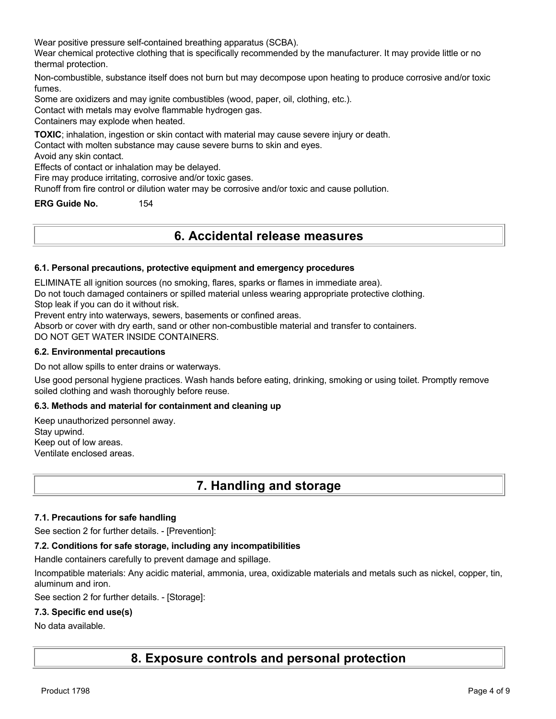Wear positive pressure self-contained breathing apparatus (SCBA).

Wear chemical protective clothing that is specifically recommended by the manufacturer. It may provide little or no thermal protection.

Non-combustible, substance itself does not burn but may decompose upon heating to produce corrosive and/or toxic fumes.

Some are oxidizers and may ignite combustibles (wood, paper, oil, clothing, etc.).

Contact with metals may evolve flammable hydrogen gas.

Containers may explode when heated.

**TOXIC**; inhalation, ingestion or skin contact with material may cause severe injury or death.

Contact with molten substance may cause severe burns to skin and eyes.

Avoid any skin contact.

Effects of contact or inhalation may be delayed.

Fire may produce irritating, corrosive and/or toxic gases.

Runoff from fire control or dilution water may be corrosive and/or toxic and cause pollution.

**ERG Guide No.** 154

## **6. Accidental release measures**

#### **6.1. Personal precautions, protective equipment and emergency procedures**

ELIMINATE all ignition sources (no smoking, flares, sparks or flames in immediate area).

Do not touch damaged containers or spilled material unless wearing appropriate protective clothing.

Stop leak if you can do it without risk.

Prevent entry into waterways, sewers, basements or confined areas.

Absorb or cover with dry earth, sand or other non-combustible material and transfer to containers.

DO NOT GET WATER INSIDE CONTAINERS.

#### **6.2. Environmental precautions**

Do not allow spills to enter drains or waterways.

Use good personal hygiene practices. Wash hands before eating, drinking, smoking or using toilet. Promptly remove soiled clothing and wash thoroughly before reuse.

#### **6.3. Methods and material for containment and cleaning up**

Keep unauthorized personnel away. Stay upwind. Keep out of low areas. Ventilate enclosed areas.

## **7. Handling and storage**

#### **7.1. Precautions for safe handling**

See section 2 for further details. - [Prevention]:

#### **7.2. Conditions for safe storage, including any incompatibilities**

Handle containers carefully to prevent damage and spillage.

Incompatible materials: Any acidic material, ammonia, urea, oxidizable materials and metals such as nickel, copper, tin, aluminum and iron.

See section 2 for further details. - [Storage]:

#### **7.3. Specific end use(s)**

#### No data available.

**8. Exposure controls and personal protection**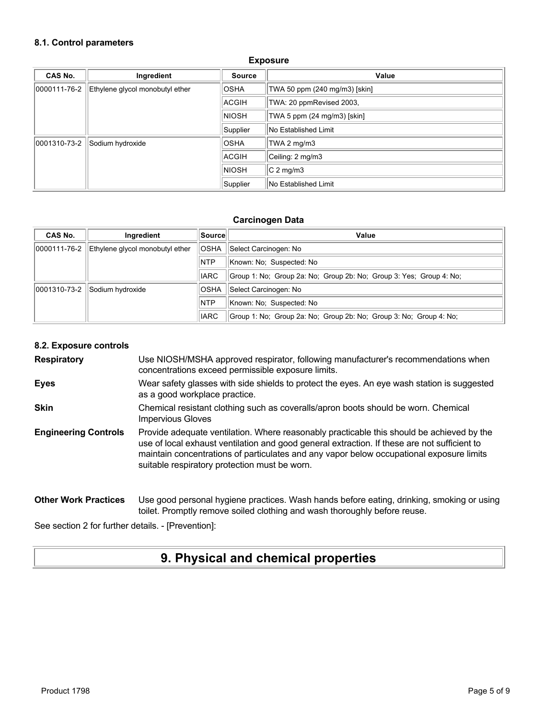#### **8.1. Control parameters**

| CAS No.      | Ingredient                      | <b>Source</b> | Value                         |
|--------------|---------------------------------|---------------|-------------------------------|
| 0000111-76-2 | Ethylene glycol monobutyl ether | <b>OSHA</b>   | TWA 50 ppm (240 mg/m3) [skin] |
|              |                                 | ACGIH         | TWA: 20 ppmRevised 2003,      |
|              |                                 | <b>NIOSH</b>  | TWA 5 ppm (24 mg/m3) [skin]   |
|              |                                 | Supplier      | No Established Limit          |
| 0001310-73-2 | Sodium hydroxide                | <b>OSHA</b>   | TWA 2 mg/m3                   |
|              |                                 | <b>ACGIH</b>  | Ceiling: 2 mg/m3              |
|              |                                 | <b>NIOSH</b>  | $C2$ mg/m3                    |
|              |                                 | Supplier      | No Established Limit          |

#### **Exposure**

#### **Carcinogen Data**

| <b>CAS No.</b> | Ingredient                      | Source      | Value                                                               |
|----------------|---------------------------------|-------------|---------------------------------------------------------------------|
| 0000111-76-2   | Ethylene glycol monobutyl ether | <b>OSHA</b> | Select Carcinogen: No                                               |
|                |                                 | <b>NTP</b>  | Known: No: Suspected: No                                            |
|                |                                 | <b>IARC</b> | Group 1: No: Group 2a: No: Group 2b: No: Group 3: Yes: Group 4: No: |
| 0001310-73-2   | Sodium hydroxide                | <b>OSHA</b> | Select Carcinogen: No                                               |
|                |                                 | <b>NTP</b>  | Known: No: Suspected: No                                            |
|                |                                 | <b>IARC</b> | Group 1: No; Group 2a: No; Group 2b: No; Group 3: No; Group 4: No;  |

#### **8.2. Exposure controls**

**Respiratory** Use NIOSH/MSHA approved respirator, following manufacturer's recommendations when concentrations exceed permissible exposure limits.

- **Eyes** Wear safety glasses with side shields to protect the eyes. An eye wash station is suggested as a good workplace practice.
- **Skin** Chemical resistant clothing such as coveralls/apron boots should be worn. Chemical Impervious Gloves
- **Engineering Controls** Provide adequate ventilation. Where reasonably practicable this should be achieved by the use of local exhaust ventilation and good general extraction. If these are not sufficient to maintain concentrations of particulates and any vapor below occupational exposure limits suitable respiratory protection must be worn.

#### **Other Work Practices** Use good personal hygiene practices. Wash hands before eating, drinking, smoking or using toilet. Promptly remove soiled clothing and wash thoroughly before reuse.

See section 2 for further details. - [Prevention]:

## **9. Physical and chemical properties**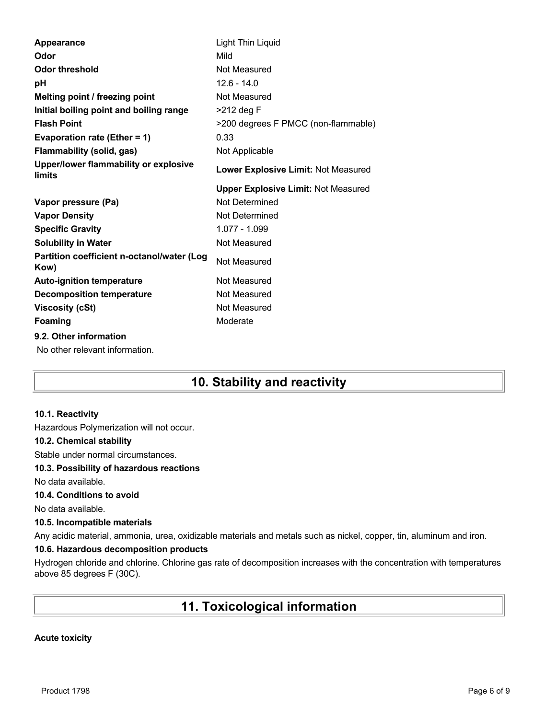| Appearance                                               | Light Thin Liquid                          |
|----------------------------------------------------------|--------------------------------------------|
| Odor                                                     | Mild                                       |
| <b>Odor threshold</b>                                    | Not Measured                               |
| рH                                                       | $12.6 - 14.0$                              |
| Melting point / freezing point                           | Not Measured                               |
| Initial boiling point and boiling range                  | $>212$ deg F                               |
| <b>Flash Point</b>                                       | >200 degrees F PMCC (non-flammable)        |
| Evaporation rate (Ether = 1)                             | 0.33                                       |
| <b>Flammability (solid, gas)</b>                         | Not Applicable                             |
| Upper/lower flammability or explosive<br>limits          | Lower Explosive Limit: Not Measured        |
|                                                          | <b>Upper Explosive Limit: Not Measured</b> |
| Vapor pressure (Pa)                                      | Not Determined                             |
| <b>Vapor Density</b>                                     | Not Determined                             |
| <b>Specific Gravity</b>                                  | 1.077 - 1.099                              |
| <b>Solubility in Water</b>                               | Not Measured                               |
| Partition coefficient n-octanol/water (Log<br>Kow)       | Not Measured                               |
| <b>Auto-ignition temperature</b>                         | Not Measured                               |
| <b>Decomposition temperature</b>                         | Not Measured                               |
| <b>Viscosity (cSt)</b>                                   | Not Measured                               |
| <b>Foaming</b>                                           | Moderate                                   |
| 9.2. Other information<br>No other relevant information. |                                            |

# **10. Stability and reactivity**

#### **10.1. Reactivity**

Hazardous Polymerization will not occur.

#### **10.2. Chemical stability**

Stable under normal circumstances.

#### **10.3. Possibility of hazardous reactions**

No data available.

### **10.4. Conditions to avoid**

No data available.

#### **10.5. Incompatible materials**

Any acidic material, ammonia, urea, oxidizable materials and metals such as nickel, copper, tin, aluminum and iron.

### **10.6. Hazardous decomposition products**

Hydrogen chloride and chlorine. Chlorine gas rate of decomposition increases with the concentration with temperatures above 85 degrees F (30C).

# **11. Toxicological information**

#### **Acute toxicity**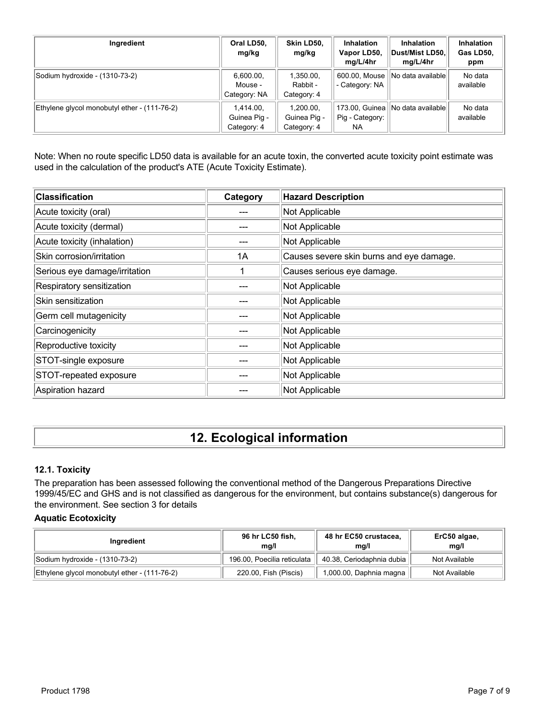| Ingredient                                   | Oral LD50,<br>mg/kg                      | Skin LD50,<br>mg/kg                      | <b>Inhalation</b><br>Vapor LD50,<br>mg/L/4hr | <b>Inhalation</b><br>Dust/Mist LD50,<br>mg/L/4hr | Inhalation<br>Gas LD50,<br>ppm |
|----------------------------------------------|------------------------------------------|------------------------------------------|----------------------------------------------|--------------------------------------------------|--------------------------------|
| Sodium hydroxide - (1310-73-2)               | 6,600.00,<br>Mouse -<br>Category: NA     | 1,350.00,<br>Rabbit -<br>Category: 4     | 600.00, Mouse<br>- Category: NA              | No data available                                | No data<br>available           |
| Ethylene glycol monobutyl ether - (111-76-2) | 1.414.00.<br>Guinea Pig -<br>Category: 4 | 1.200.00.<br>Guinea Pig -<br>Category: 4 | 173.00, Guinea<br>Pig - Category:<br>NA.     | INo data availablel                              | No data<br>available           |

Note: When no route specific LD50 data is available for an acute toxin, the converted acute toxicity point estimate was used in the calculation of the product's ATE (Acute Toxicity Estimate).

| <b>Classification</b>         | Category | <b>Hazard Description</b>                |
|-------------------------------|----------|------------------------------------------|
| Acute toxicity (oral)         |          | Not Applicable                           |
| Acute toxicity (dermal)       |          | Not Applicable                           |
| Acute toxicity (inhalation)   |          | Not Applicable                           |
| Skin corrosion/irritation     | 1A       | Causes severe skin burns and eye damage. |
| Serious eye damage/irritation |          | Causes serious eye damage.               |
| Respiratory sensitization     |          | Not Applicable                           |
| Skin sensitization            |          | Not Applicable                           |
| Germ cell mutagenicity        |          | Not Applicable                           |
| Carcinogenicity               |          | Not Applicable                           |
| Reproductive toxicity         |          | Not Applicable                           |
| STOT-single exposure          |          | Not Applicable                           |
| STOT-repeated exposure        |          | Not Applicable                           |
| Aspiration hazard             |          | Not Applicable                           |

# **12. Ecological information**

## **12.1. Toxicity**

The preparation has been assessed following the conventional method of the Dangerous Preparations Directive 1999/45/EC and GHS and is not classified as dangerous for the environment, but contains substance(s) dangerous for the environment. See section 3 for details

#### **Aquatic Ecotoxicity**

| Ingredient                                   | 96 hr LC50 fish,<br>ma/l    | 48 hr EC50 crustacea,<br>ma/l | ErC50 algae,<br>mq/l |
|----------------------------------------------|-----------------------------|-------------------------------|----------------------|
| Sodium hydroxide - (1310-73-2)               | 196.00, Poecilia reticulata | 40.38, Ceriodaphnia dubia     | Not Available        |
| Ethylene glycol monobutyl ether - (111-76-2) | 220.00, Fish (Piscis)       | 1,000.00, Daphnia magna       | Not Available        |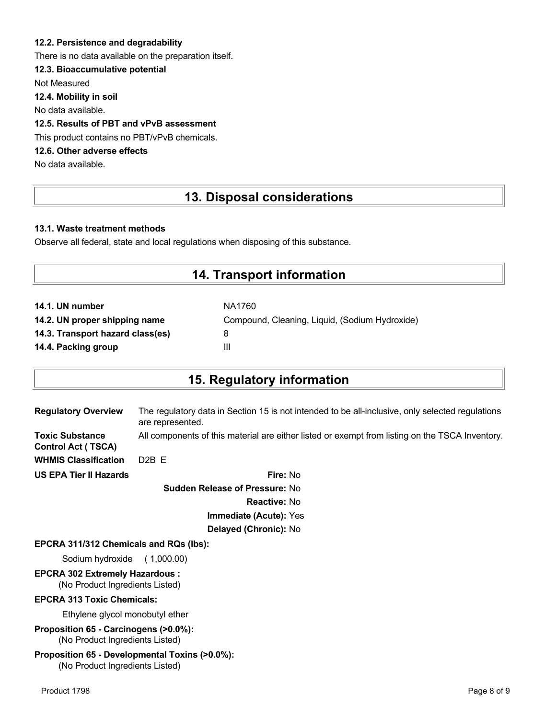### **12.2. Persistence and degradability**

There is no data available on the preparation itself.

## **12.3. Bioaccumulative potential**

Not Measured

**12.4. Mobility in soil**

No data available.

## **12.5. Results of PBT and vPvB assessment**

This product contains no PBT/vPvB chemicals.

## **12.6. Other adverse effects**

No data available.

## **13. Disposal considerations**

### **13.1. Waste treatment methods**

Observe all federal, state and local regulations when disposing of this substance.

## **14. Transport information**

| NA1760                                         |
|------------------------------------------------|
| Compound, Cleaning, Liquid, (Sodium Hydroxide) |
| 8                                              |
| Ш                                              |
|                                                |

## **15. Regulatory information**

| <b>Regulatory Overview</b>                          | The regulatory data in Section 15 is not intended to be all-inclusive, only selected regulations<br>are represented. |
|-----------------------------------------------------|----------------------------------------------------------------------------------------------------------------------|
| <b>Toxic Substance</b><br><b>Control Act (TSCA)</b> | All components of this material are either listed or exempt from listing on the TSCA Inventory.                      |
| <b>WHMIS Classification</b>                         | $D2B$ F                                                                                                              |
| <b>US EPA Tier II Hazards</b>                       | Fire: No                                                                                                             |
|                                                     |                                                                                                                      |

**Sudden Release of Pressure:** No **Reactive:** No **Immediate (Acute):** Yes **Delayed (Chronic):** No

#### **EPCRA 311/312 Chemicals and RQs (lbs):**

Sodium hydroxide ( 1,000.00)

# **EPCRA 302 Extremely Hazardous :**

(No Product Ingredients Listed)

#### **EPCRA 313 Toxic Chemicals:**

Ethylene glycol monobutyl ether

**Proposition 65 - Carcinogens (>0.0%):** (No Product Ingredients Listed)

#### **Proposition 65 - Developmental Toxins (>0.0%):** (No Product Ingredients Listed)